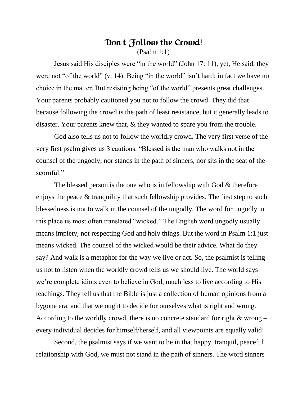## **Don't Follow the Crowd!** (Psalm 1:1)

Jesus said His disciples were "in the world" (John 17: 11), yet, He said, they were not "of the world" (v. 14). Being "in the world" isn't hard; in fact we have no choice in the matter. But resisting being "of the world" presents great challenges. Your parents probably cautioned you not to follow the crowd. They did that because following the crowd is the path of least resistance, but it generally leads to disaster. Your parents knew that, & they wanted to spare you from the trouble.

God also tells us not to follow the worldly crowd. The very first verse of the very first psalm gives us 3 cautions. "Blessed is the man who walks not in the counsel of the ungodly, nor stands in the path of sinners, nor sits in the seat of the scornful."

The blessed person is the one who is in fellowship with God & therefore enjoys the peace & tranquility that such fellowship provides. The first step to such blessedness is not to walk in the counsel of the ungodly. The word for ungodly in this place us most often translated "wicked." The English word ungodly usually means impiety, not respecting God and holy things. But the word in Psalm 1:1 just means wicked. The counsel of the wicked would be their advice. What do they say? And walk is a metaphor for the way we live or act. So, the psalmist is telling us not to listen when the worldly crowd tells us we should live. The world says we're complete idiots even to believe in God, much less to live according to His teachings. They tell us that the Bible is just a collection of human opinions from a bygone era, and that we ought to decide for ourselves what is right and wrong. According to the worldly crowd, there is no concrete standard for right & wrong – every individual decides for himself/herself, and all viewpoints are equally valid!

Second, the psalmist says if we want to be in that happy, tranquil, peaceful relationship with God, we must not stand in the path of sinners. The word sinners